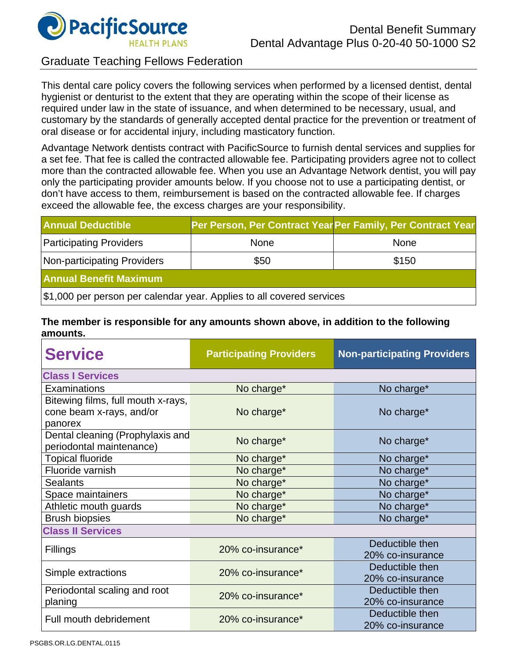

## Graduate Teaching Fellows Federation

This dental care policy covers the following services when performed by a licensed dentist, dental hygienist or denturist to the extent that they are operating within the scope of their license as required under law in the state of issuance, and when determined to be necessary, usual, and customary by the standards of generally accepted dental practice for the prevention or treatment of oral disease or for accidental injury, including masticatory function.

Advantage Network dentists contract with PacificSource to furnish dental services and supplies for a set fee. That fee is called the contracted allowable fee. Participating providers agree not to collect more than the contracted allowable fee. When you use an Advantage Network dentist, you will pay only the participating provider amounts below. If you choose not to use a participating dentist, or don't have access to them, reimbursement is based on the contracted allowable fee. If charges exceed the allowable fee, the excess charges are your responsibility.

| <b>Annual Deductible</b>                                              | Per Person, Per Contract Year Per Family, Per Contract Year |             |  |  |
|-----------------------------------------------------------------------|-------------------------------------------------------------|-------------|--|--|
| <b>Participating Providers</b>                                        | <b>None</b>                                                 | <b>None</b> |  |  |
| Non-participating Providers                                           | \$50                                                        | \$150       |  |  |
| <b>Annual Benefit Maximum</b>                                         |                                                             |             |  |  |
| \$1,000 per person per calendar year. Applies to all covered services |                                                             |             |  |  |

#### **The member is responsible for any amounts shown above, in addition to the following amounts.**

| <b>Service</b>                                                            | <b>Participating Providers</b> | <b>Non-participating Providers</b>  |  |  |
|---------------------------------------------------------------------------|--------------------------------|-------------------------------------|--|--|
| <b>Class I Services</b>                                                   |                                |                                     |  |  |
| Examinations                                                              | No charge*                     | No charge*                          |  |  |
| Bitewing films, full mouth x-rays,<br>cone beam x-rays, and/or<br>panorex | No charge*                     | No charge*                          |  |  |
| Dental cleaning (Prophylaxis and<br>periodontal maintenance)              | No charge*                     | No charge*                          |  |  |
| <b>Topical fluoride</b>                                                   | No charge*                     | No charge*                          |  |  |
| Fluoride varnish                                                          | No charge*                     | No charge*                          |  |  |
| <b>Sealants</b>                                                           | No charge*                     | No charge*                          |  |  |
| Space maintainers                                                         | No charge*                     | No charge*                          |  |  |
| Athletic mouth guards                                                     | No charge*                     | No charge*                          |  |  |
| <b>Brush biopsies</b>                                                     | No charge*                     | No charge*                          |  |  |
| <b>Class II Services</b>                                                  |                                |                                     |  |  |
| Fillings                                                                  | 20% co-insurance*              | Deductible then<br>20% co-insurance |  |  |
| Simple extractions                                                        | 20% co-insurance*              | Deductible then<br>20% co-insurance |  |  |
| Periodontal scaling and root<br>planing                                   | 20% co-insurance*              | Deductible then<br>20% co-insurance |  |  |
| Full mouth debridement                                                    | 20% co-insurance*              | Deductible then<br>20% co-insurance |  |  |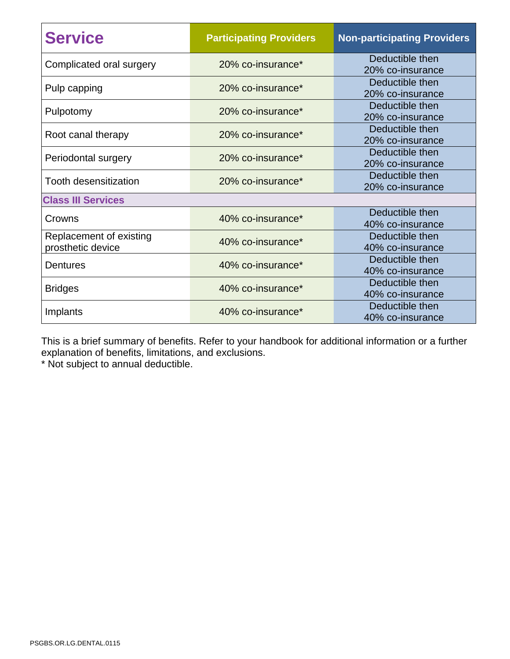| <b>Service</b>                               | <b>Participating Providers</b> | <b>Non-participating Providers</b>  |  |  |
|----------------------------------------------|--------------------------------|-------------------------------------|--|--|
| Complicated oral surgery                     | 20% co-insurance*              | Deductible then<br>20% co-insurance |  |  |
| Pulp capping                                 | 20% co-insurance*              | Deductible then<br>20% co-insurance |  |  |
| Pulpotomy                                    | 20% co-insurance*              | Deductible then<br>20% co-insurance |  |  |
| Root canal therapy                           | 20% co-insurance*              | Deductible then<br>20% co-insurance |  |  |
| Periodontal surgery                          | 20% co-insurance*              | Deductible then<br>20% co-insurance |  |  |
| Tooth desensitization                        | 20% co-insurance*              | Deductible then<br>20% co-insurance |  |  |
| <b>Class III Services</b>                    |                                |                                     |  |  |
| Crowns                                       | 40% co-insurance*              | Deductible then<br>40% co-insurance |  |  |
| Replacement of existing<br>prosthetic device | 40% co-insurance*              | Deductible then<br>40% co-insurance |  |  |
| <b>Dentures</b>                              | 40% co-insurance*              | Deductible then<br>40% co-insurance |  |  |
| <b>Bridges</b>                               | 40% co-insurance*              | Deductible then<br>40% co-insurance |  |  |
| Implants                                     | 40% co-insurance*              | Deductible then<br>40% co-insurance |  |  |

This is a brief summary of benefits. Refer to your handbook for additional information or a further explanation of benefits, limitations, and exclusions.

\* Not subject to annual deductible.